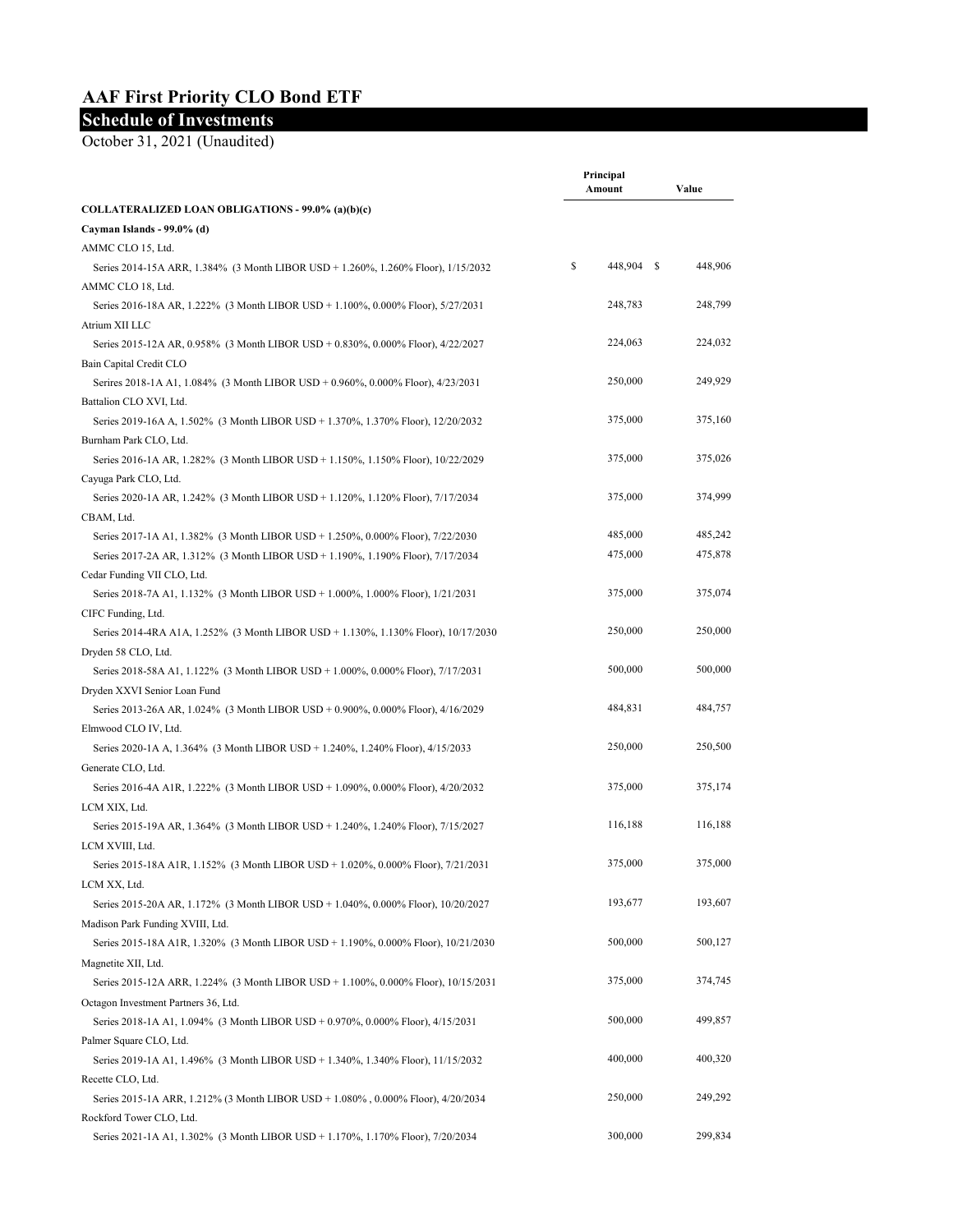## AAF First Priority CLO Bond ETF

## Schedule of Investments

October 31, 2021 (Unaudited)

|                                                                                    |    | Principal<br>Amount | Value   |
|------------------------------------------------------------------------------------|----|---------------------|---------|
| COLLATERALIZED LOAN OBLIGATIONS - 99.0% (a)(b)(c)                                  |    |                     |         |
| Cayman Islands - 99.0% (d)                                                         |    |                     |         |
| AMMC CLO 15, Ltd.                                                                  |    |                     |         |
| Series 2014-15A ARR, 1.384% (3 Month LIBOR USD + 1.260%, 1.260% Floor), 1/15/2032  | \$ | 448,904 \$          | 448,906 |
| AMMC CLO 18, Ltd.                                                                  |    |                     |         |
| Series 2016-18A AR, 1.222% (3 Month LIBOR USD + 1.100%, 0.000% Floor), $5/27/2031$ |    | 248,783             | 248,799 |
| Atrium XII LLC                                                                     |    |                     |         |
| Series 2015-12A AR, 0.958% (3 Month LIBOR USD + 0.830%, 0.000% Floor), $4/22/2027$ |    | 224,063             | 224,032 |
| Bain Capital Credit CLO                                                            |    |                     |         |
| Serires 2018-1A A1, 1.084% (3 Month LIBOR USD + 0.960%, 0.000% Floor), 4/23/2031   |    | 250,000             | 249,929 |
| Battalion CLO XVI, Ltd.                                                            |    |                     |         |
| Series 2019-16A A, 1.502% (3 Month LIBOR USD + 1.370%, 1.370% Floor), 12/20/2032   |    | 375,000             | 375,160 |
| Burnham Park CLO, Ltd.                                                             |    |                     |         |
| Series 2016-1A AR, 1.282% (3 Month LIBOR USD + 1.150%, 1.150% Floor), 10/22/2029   |    | 375,000             | 375,026 |
| Cayuga Park CLO, Ltd.                                                              |    |                     |         |
| Series 2020-1A AR, 1.242% (3 Month LIBOR USD + 1.120%, 1.120% Floor), 7/17/2034    |    | 375,000             | 374,999 |
| CBAM, Ltd.                                                                         |    |                     |         |
| Series 2017-1A A1, 1.382% (3 Month LIBOR USD + 1.250%, 0.000% Floor), 7/22/2030    |    | 485,000             | 485,242 |
| Series 2017-2A AR, 1.312% (3 Month LIBOR USD + 1.190%, 1.190% Floor), 7/17/2034    |    | 475,000             | 475,878 |
| Cedar Funding VII CLO, Ltd.                                                        |    |                     |         |
| Series 2018-7A A1, 1.132% (3 Month LIBOR USD + 1.000%, 1.000% Floor), 1/21/2031    |    | 375,000             | 375,074 |
| CIFC Funding, Ltd.                                                                 |    |                     |         |
| Series 2014-4RA A1A, 1.252% (3 Month LIBOR USD + 1.130%, 1.130% Floor), 10/17/2030 |    | 250,000             | 250,000 |
| Dryden 58 CLO, Ltd.                                                                |    |                     |         |
| Series 2018-58A A1, 1.122% (3 Month LIBOR USD + 1.000%, 0.000% Floor), 7/17/2031   |    | 500,000             | 500,000 |
| Dryden XXVI Senior Loan Fund                                                       |    |                     |         |
| Series 2013-26A AR, 1.024% (3 Month LIBOR USD + 0.900%, 0.000% Floor), $4/16/2029$ |    | 484,831             | 484,757 |
| Elmwood CLO IV, Ltd.                                                               |    |                     |         |
|                                                                                    |    | 250,000             | 250,500 |
| Series 2020-1A A, 1.364% (3 Month LIBOR USD + 1.240%, 1.240% Floor), 4/15/2033     |    |                     |         |
| Generate CLO, Ltd.                                                                 |    | 375,000             |         |
| Series 2016-4A A1R, 1.222% (3 Month LIBOR USD + 1.090%, 0.000% Floor), 4/20/2032   |    |                     | 375,174 |
| LCM XIX, Ltd.                                                                      |    |                     |         |
| Series 2015-19A AR, 1.364% (3 Month LIBOR USD + 1.240%, 1.240% Floor), 7/15/2027   |    | 116,188             | 116,188 |
| LCM XVIII, Ltd.                                                                    |    |                     |         |
| Series 2015-18A A1R, 1.152% (3 Month LIBOR USD + 1.020%, 0.000% Floor), 7/21/2031  |    | 375,000             | 375,000 |
| LCM XX, Ltd.                                                                       |    |                     |         |
| Series 2015-20A AR, 1.172% (3 Month LIBOR USD + 1.040%, 0.000% Floor), 10/20/2027  |    | 193,677             | 193,607 |
| Madison Park Funding XVIII, Ltd.                                                   |    |                     |         |
| Series 2015-18A A1R, 1.320% (3 Month LIBOR USD + 1.190%, 0.000% Floor), 10/21/2030 |    | 500,000             | 500,127 |
| Magnetite XII, Ltd.                                                                |    |                     |         |
| Series 2015-12A ARR, 1.224% (3 Month LIBOR USD + 1.100%, 0.000% Floor), 10/15/2031 |    | 375,000             | 374,745 |
| Octagon Investment Partners 36, Ltd.                                               |    |                     |         |
| Series 2018-1A A1, 1.094% (3 Month LIBOR USD + 0.970%, 0.000% Floor), 4/15/2031    |    | 500,000             | 499,857 |
| Palmer Square CLO, Ltd.                                                            |    |                     |         |
| Series 2019-1A A1, 1.496% (3 Month LIBOR USD + 1.340%, 1.340% Floor), 11/15/2032   |    | 400,000             | 400,320 |
| Recette CLO, Ltd.                                                                  |    |                     |         |
| Series 2015-1A ARR, 1.212% (3 Month LIBOR USD + 1.080%, 0.000% Floor), 4/20/2034   |    | 250,000             | 249,292 |
| Rockford Tower CLO, Ltd.                                                           |    |                     |         |
| Series 2021-1A A1, 1.302% (3 Month LIBOR USD + 1.170%, 1.170% Floor), 7/20/2034    |    | 300,000             | 299,834 |